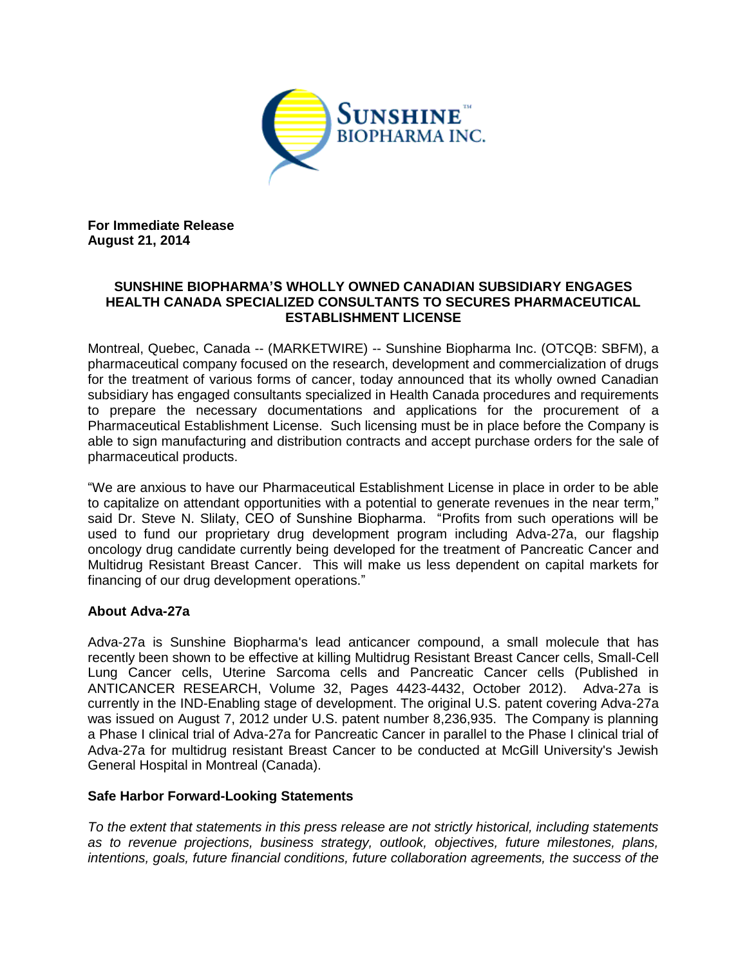

**For Immediate Release August 21, 2014**

## **SUNSHINE BIOPHARMA'S WHOLLY OWNED CANADIAN SUBSIDIARY ENGAGES HEALTH CANADA SPECIALIZED CONSULTANTS TO SECURES PHARMACEUTICAL ESTABLISHMENT LICENSE**

Montreal, Quebec, Canada -- (MARKETWIRE) -- Sunshine Biopharma Inc. (OTCQB: SBFM), a pharmaceutical company focused on the research, development and commercialization of drugs for the treatment of various forms of cancer, today announced that its wholly owned Canadian subsidiary has engaged consultants specialized in Health Canada procedures and requirements to prepare the necessary documentations and applications for the procurement of a Pharmaceutical Establishment License. Such licensing must be in place before the Company is able to sign manufacturing and distribution contracts and accept purchase orders for the sale of pharmaceutical products.

"We are anxious to have our Pharmaceutical Establishment License in place in order to be able to capitalize on attendant opportunities with a potential to generate revenues in the near term," said Dr. Steve N. Slilaty, CEO of Sunshine Biopharma. "Profits from such operations will be used to fund our proprietary drug development program including Adva-27a, our flagship oncology drug candidate currently being developed for the treatment of Pancreatic Cancer and Multidrug Resistant Breast Cancer. This will make us less dependent on capital markets for financing of our drug development operations."

## **About Adva-27a**

Adva-27a is Sunshine Biopharma's lead anticancer compound, a small molecule that has recently been shown to be effective at killing Multidrug Resistant Breast Cancer cells, Small-Cell Lung Cancer cells, Uterine Sarcoma cells and Pancreatic Cancer cells (Published in ANTICANCER RESEARCH, Volume 32, Pages 4423-4432, October 2012). Adva-27a is currently in the IND-Enabling stage of development. The original U.S. patent covering Adva-27a was issued on August 7, 2012 under U.S. patent number 8,236,935. The Company is planning a Phase I clinical trial of Adva-27a for Pancreatic Cancer in parallel to the Phase I clinical trial of Adva-27a for multidrug resistant Breast Cancer to be conducted at McGill University's Jewish General Hospital in Montreal (Canada).

## **Safe Harbor Forward-Looking Statements**

*To the extent that statements in this press release are not strictly historical, including statements as to revenue projections, business strategy, outlook, objectives, future milestones, plans, intentions, goals, future financial conditions, future collaboration agreements, the success of the*